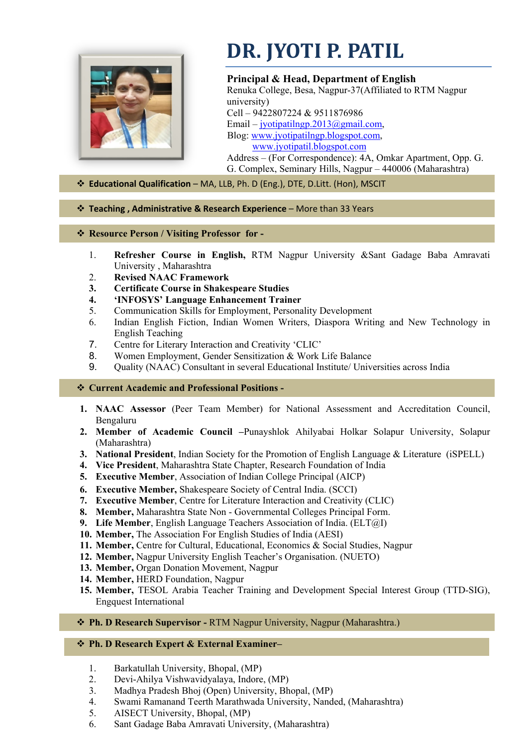

# **DR. JYOTI P. PATIL**

**Principal & Head, Department of English** Renuka College, Besa, Nagpur-37(Affiliated to RTM Nagpur university) Cell – 9422807224 & 9511876986 Email – [jyotipatilngp.2013@gmail.com,](mailto:jyotipatilngp.2013@gmail.com) Blog: [www.jyotipatilngp.blogspot.com,](http://www.jyotipatilngp.blogspot.com/) [www.jyotipatil.blogspot.com](http://www.jyotipatil.blogspot.com/) Address – (For Correspondence): 4A, Omkar Apartment, Opp. G. G. Complex, Seminary Hills, Nagpur – 440006 (Maharashtra)

## **Educational Qualification** – MA, LLB, Ph. D (Eng.), DTE, D.Litt. (Hon), MSCIT

## **Teaching , Administrative & Research Experience** – More than 33 Years

#### **Resource Person / Visiting Professor for -**

- 1. **Refresher Course in English,** RTM Nagpur University &Sant Gadage Baba Amravati University , Maharashtra
- 2. **Revised NAAC Framework**
- **3. Certificate Course in Shakespeare Studies**
- **4. 'INFOSYS' Language Enhancement Trainer**
- 5. Communication Skills for Employment, Personality Development
- 6. Indian English Fiction, Indian Women Writers, Diaspora Writing and New Technology in English Teaching
- 7. Centre for Literary Interaction and Creativity 'CLIC'
- 8. Women Employment, Gender Sensitization & Work Life Balance
- 9. Quality (NAAC) Consultant in several Educational Institute/ Universities across India

## **Current Academic and Professional Positions -**

- **1. NAAC Assessor** (Peer Team Member) for National Assessment and Accreditation Council, Bengaluru
- **2. Member of Academic Council –**Punayshlok Ahilyabai Holkar Solapur University, Solapur (Maharashtra)
- **3. National President**, Indian Society for the Promotion of English Language & Literature (iSPELL)
- **4. Vice President**, Maharashtra State Chapter, Research Foundation of India
- **5. Executive Member**, Association of Indian College Principal (AICP)
- **6. Executive Member,** Shakespeare Society of Central India. (SCCI)
- **7. Executive Member**, Centre for Literature Interaction and Creativity (CLIC)
- **8. Member,** Maharashtra State Non Governmental Colleges Principal Form.
- **9. Life Member**, English Language Teachers Association of India. (ELT@I)
- **10. Member,** The Association For English Studies of India (AESI)
- **11. Member,** Centre for Cultural, Educational, Economics & Social Studies, Nagpur
- **12. Member,** Nagpur University English Teacher's Organisation. (NUETO)
- **13. Member,** Organ Donation Movement, Nagpur
- **14. Member,** HERD Foundation, Nagpur
- **15. Member,** TESOL Arabia Teacher Training and Development Special Interest Group (TTD-SIG), Engquest International
- **Ph. D Research Supervisor** RTM Nagpur University, Nagpur (Maharashtra.)

## **Ph. D Research Expert & External Examiner–**

- 1. Barkatullah University, Bhopal, (MP)
- 2. Devi-Ahilya Vishwavidyalaya, Indore, (MP)
- 3. Madhya Pradesh Bhoj (Open) University, Bhopal, (MP)
- 4. Swami Ramanand Teerth Marathwada University, Nanded, (Maharashtra)
- 5. AISECT University, Bhopal, (MP)
- 6. Sant Gadage Baba Amravati University, (Maharashtra)